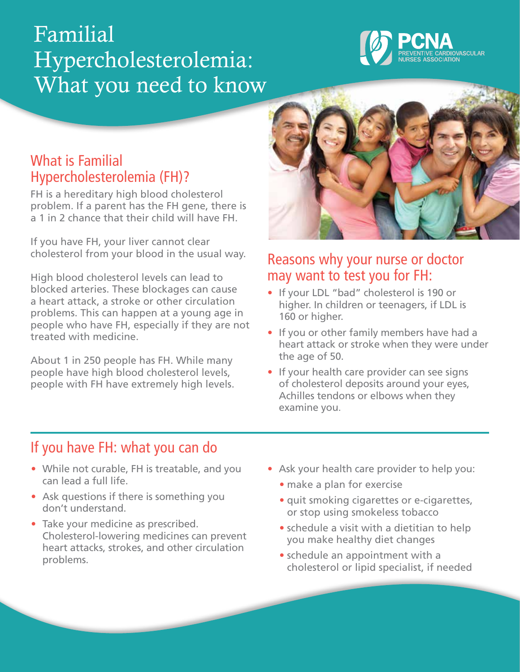# Familial Hypercholesterolemia: What you need to know



### What is Familial Hypercholesterolemia (FH)?

FH is a hereditary high blood cholesterol problem. If a parent has the FH gene, there is a 1 in 2 chance that their child will have FH.

If you have FH, your liver cannot clear cholesterol from your blood in the usual way.

High blood cholesterol levels can lead to blocked arteries. These blockages can cause a heart attack, a stroke or other circulation problems. This can happen at a young age in people who have FH, especially if they are not treated with medicine.

About 1 in 250 people has FH. While many people have high blood cholesterol levels, people with FH have extremely high levels.



#### Reasons why your nurse or doctor may want to test you for FH:

- If your LDL "bad" cholesterol is 190 or higher. In children or teenagers, if LDL is 160 or higher.
- If you or other family members have had a heart attack or stroke when they were under the age of 50.
- If your health care provider can see signs of cholesterol deposits around your eyes, Achilles tendons or elbows when they examine you.

## If you have FH: what you can do

- While not curable, FH is treatable, and you can lead a full life.
- Ask questions if there is something you don't understand.
- Take your medicine as prescribed. Cholesterol-lowering medicines can prevent heart attacks, strokes, and other circulation problems.
- Ask your health care provider to help you:
	- make a plan for exercise
	- quit smoking cigarettes or e-cigarettes, or stop using smokeless tobacco
	- schedule a visit with a dietitian to help you make healthy diet changes
	- schedule an appointment with a cholesterol or lipid specialist, if needed